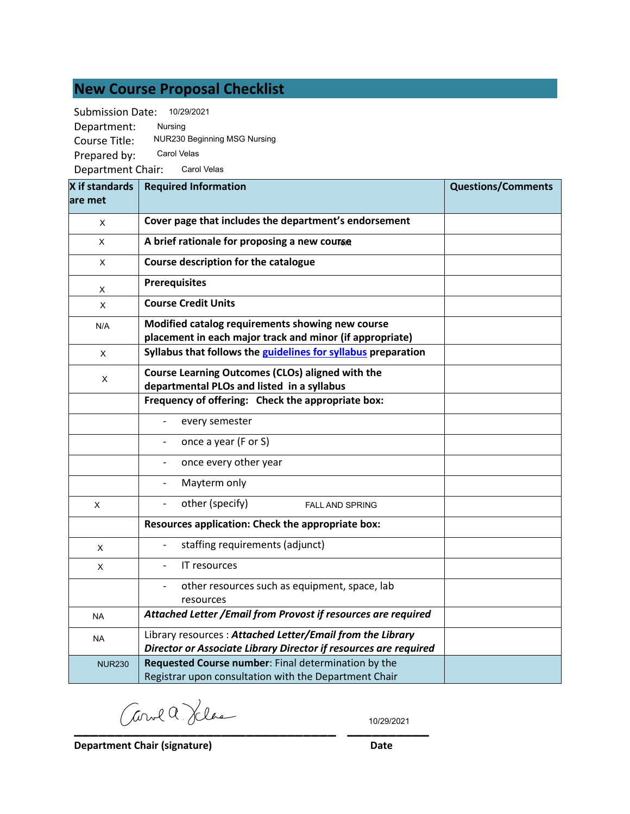# **New Course Proposal Checklist**

Submission Date: 10/29/2021

| <b>Submission Date:</b> | 10/29/2021                                                                                                   |                           |
|-------------------------|--------------------------------------------------------------------------------------------------------------|---------------------------|
| Department:             | Nursing                                                                                                      |                           |
| Course Title:           | NUR230 Beginning MSG Nursing                                                                                 |                           |
| Prepared by:            | Carol Velas                                                                                                  |                           |
| Department Chair:       | Carol Velas                                                                                                  |                           |
| X if standards          | <b>Required Information</b>                                                                                  | <b>Questions/Comments</b> |
| are met                 |                                                                                                              |                           |
| X                       | Cover page that includes the department's endorsement                                                        |                           |
| X                       | A brief rationale for proposing a new course                                                                 |                           |
| X                       | Course description for the catalogue                                                                         |                           |
| X                       | <b>Prerequisites</b>                                                                                         |                           |
| X                       | <b>Course Credit Units</b>                                                                                   |                           |
| N/A                     | Modified catalog requirements showing new course<br>placement in each major track and minor (if appropriate) |                           |
| X                       | Syllabus that follows the guidelines for syllabus preparation                                                |                           |
| X                       | Course Learning Outcomes (CLOs) aligned with the<br>departmental PLOs and listed in a syllabus               |                           |
|                         | Frequency of offering: Check the appropriate box:                                                            |                           |
|                         | every semester                                                                                               |                           |
|                         | once a year (F or S)                                                                                         |                           |
|                         | once every other year                                                                                        |                           |
|                         | Mayterm only                                                                                                 |                           |
| X                       | other (specify)<br><b>FALL AND SPRING</b>                                                                    |                           |
|                         | Resources application: Check the appropriate box:                                                            |                           |
| X                       | staffing requirements (adjunct)                                                                              |                           |
| х                       | <b>IT resources</b>                                                                                          |                           |
|                         | other resources such as equipment, space, lab                                                                |                           |
| <b>NA</b>               | resources<br>Attached Letter / Email from Provost if resources are required                                  |                           |
| <b>NA</b>               | Library resources: Attached Letter/Email from the Library                                                    |                           |
|                         | Director or Associate Library Director if resources are required                                             |                           |
| <b>NUR230</b>           | Requested Course number: Final determination by the                                                          |                           |
|                         | Registrar upon consultation with the Department Chair                                                        |                           |

**\_\_\_\_\_\_\_\_\_\_\_\_\_\_\_\_\_\_\_\_\_\_\_\_\_\_\_\_\_\_\_\_ \_\_\_\_\_\_\_\_\_\_**

10/29/2021

**Department Chair (signature) Date**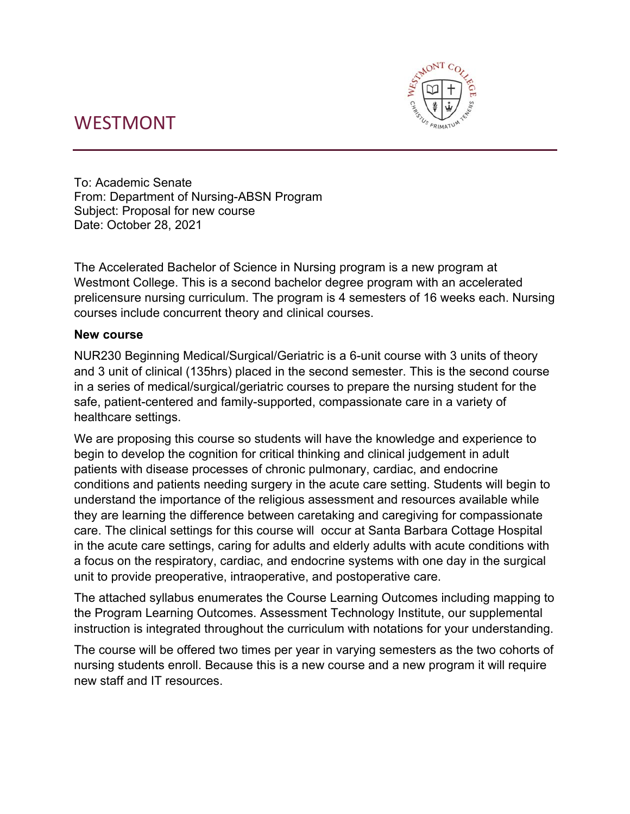# WESTMONT



To: Academic Senate From: Department of Nursing-ABSN Program Subject: Proposal for new course Date: October 28, 2021

The Accelerated Bachelor of Science in Nursing program is a new program at Westmont College. This is a second bachelor degree program with an accelerated prelicensure nursing curriculum. The program is 4 semesters of 16 weeks each. Nursing courses include concurrent theory and clinical courses.

# **New course**

NUR230 Beginning Medical/Surgical/Geriatric is a 6-unit course with 3 units of theory and 3 unit of clinical (135hrs) placed in the second semester. This is the second course in a series of medical/surgical/geriatric courses to prepare the nursing student for the safe, patient-centered and family-supported, compassionate care in a variety of healthcare settings.

We are proposing this course so students will have the knowledge and experience to begin to develop the cognition for critical thinking and clinical judgement in adult patients with disease processes of chronic pulmonary, cardiac, and endocrine conditions and patients needing surgery in the acute care setting. Students will begin to understand the importance of the religious assessment and resources available while they are learning the difference between caretaking and caregiving for compassionate care. The clinical settings for this course will occur at Santa Barbara Cottage Hospital in the acute care settings, caring for adults and elderly adults with acute conditions with a focus on the respiratory, cardiac, and endocrine systems with one day in the surgical unit to provide preoperative, intraoperative, and postoperative care.

The attached syllabus enumerates the Course Learning Outcomes including mapping to the Program Learning Outcomes. Assessment Technology Institute, our supplemental instruction is integrated throughout the curriculum with notations for your understanding.

The course will be offered two times per year in varying semesters as the two cohorts of nursing students enroll. Because this is a new course and a new program it will require new staff and IT resources.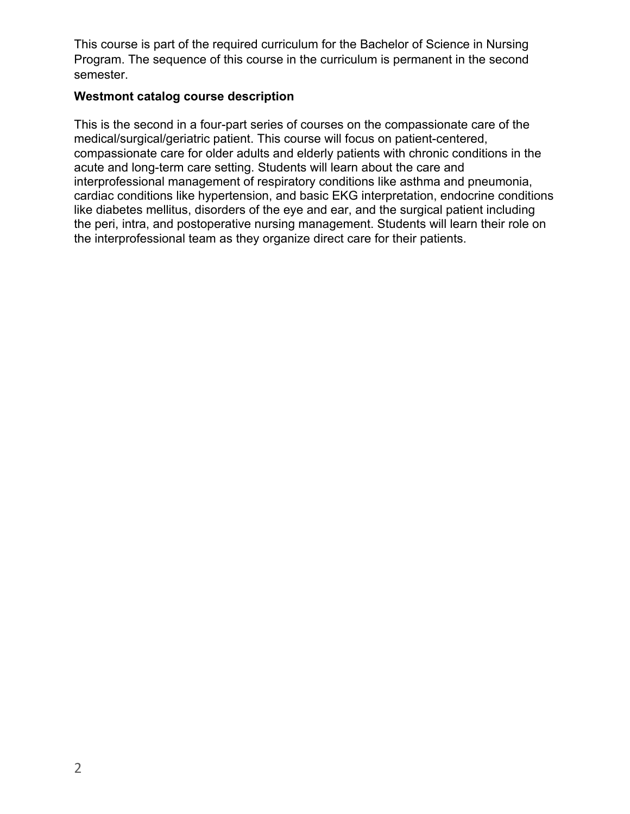This course is part of the required curriculum for the Bachelor of Science in Nursing Program. The sequence of this course in the curriculum is permanent in the second semester.

# **Westmont catalog course description**

This is the second in a four-part series of courses on the compassionate care of the medical/surgical/geriatric patient. This course will focus on patient-centered, compassionate care for older adults and elderly patients with chronic conditions in the acute and long-term care setting. Students will learn about the care and interprofessional management of respiratory conditions like asthma and pneumonia, cardiac conditions like hypertension, and basic EKG interpretation, endocrine conditions like diabetes mellitus, disorders of the eye and ear, and the surgical patient including the peri, intra, and postoperative nursing management. Students will learn their role on the interprofessional team as they organize direct care for their patients.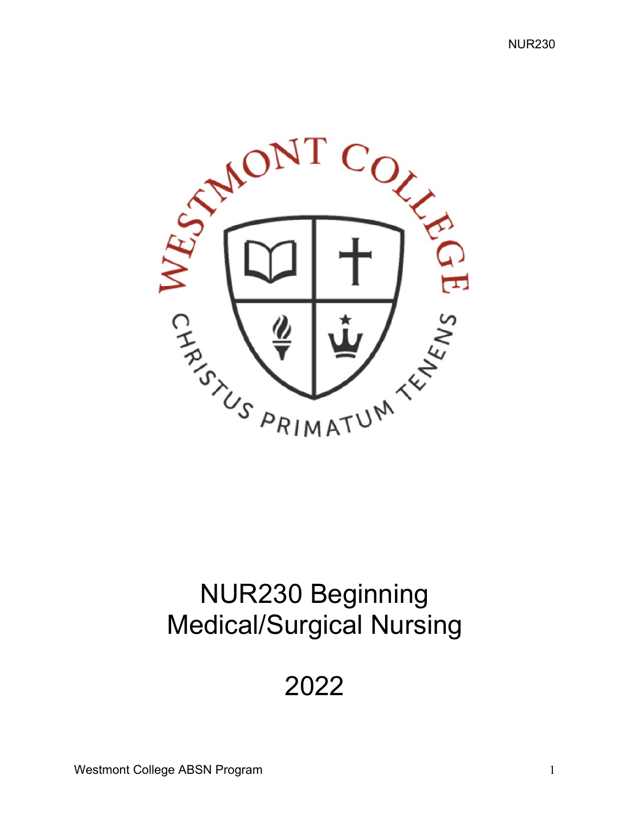NUR230



# NUR230 Beginning Medical/Surgical Nursing

2022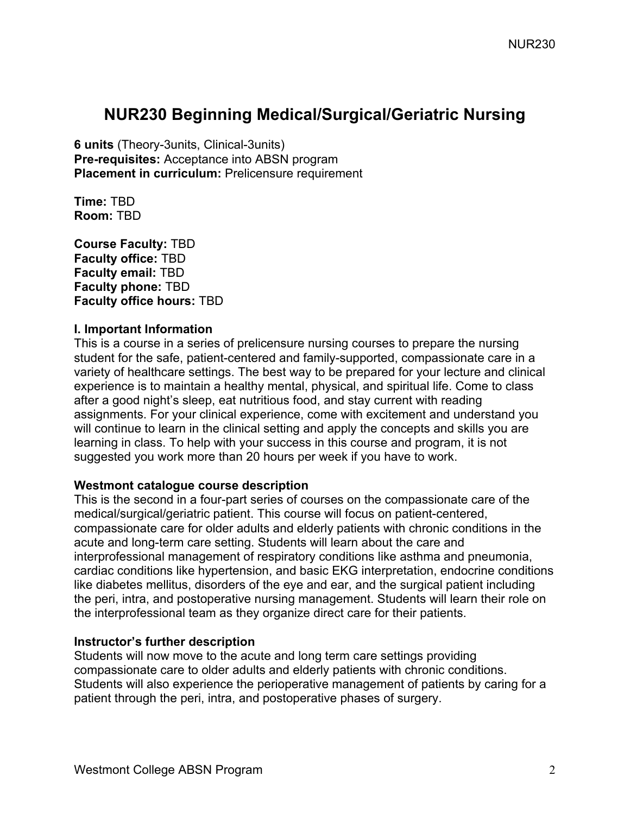# **NUR230 Beginning Medical/Surgical/Geriatric Nursing**

**6 units** (Theory-3units, Clinical-3units) **Pre-requisites:** Acceptance into ABSN program **Placement in curriculum: Prelicensure requirement** 

**Time:** TBD **Room:** TBD

**Course Faculty:** TBD **Faculty office:** TBD **Faculty email:** TBD **Faculty phone:** TBD **Faculty office hours:** TBD

#### **I. Important Information**

This is a course in a series of prelicensure nursing courses to prepare the nursing student for the safe, patient-centered and family-supported, compassionate care in a variety of healthcare settings. The best way to be prepared for your lecture and clinical experience is to maintain a healthy mental, physical, and spiritual life. Come to class after a good night's sleep, eat nutritious food, and stay current with reading assignments. For your clinical experience, come with excitement and understand you will continue to learn in the clinical setting and apply the concepts and skills you are learning in class. To help with your success in this course and program, it is not suggested you work more than 20 hours per week if you have to work.

# **Westmont catalogue course description**

This is the second in a four-part series of courses on the compassionate care of the medical/surgical/geriatric patient. This course will focus on patient-centered, compassionate care for older adults and elderly patients with chronic conditions in the acute and long-term care setting. Students will learn about the care and interprofessional management of respiratory conditions like asthma and pneumonia, cardiac conditions like hypertension, and basic EKG interpretation, endocrine conditions like diabetes mellitus, disorders of the eye and ear, and the surgical patient including the peri, intra, and postoperative nursing management. Students will learn their role on the interprofessional team as they organize direct care for their patients.

# **Instructor's further description**

Students will now move to the acute and long term care settings providing compassionate care to older adults and elderly patients with chronic conditions. Students will also experience the perioperative management of patients by caring for a patient through the peri, intra, and postoperative phases of surgery.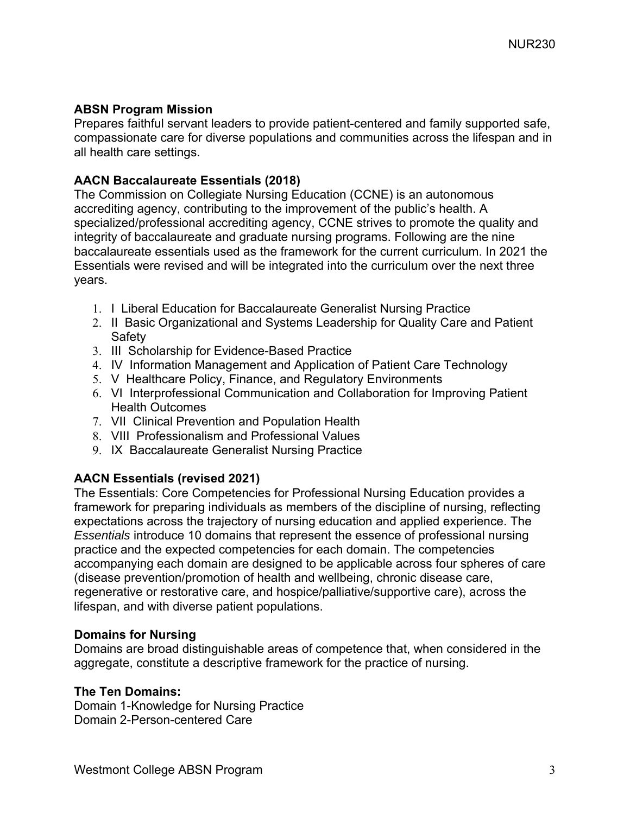# **ABSN Program Mission**

Prepares faithful servant leaders to provide patient-centered and family supported safe, compassionate care for diverse populations and communities across the lifespan and in all health care settings.

# **AACN Baccalaureate Essentials (2018)**

The Commission on Collegiate Nursing Education (CCNE) is an autonomous accrediting agency, contributing to the improvement of the public's health. A specialized/professional accrediting agency, CCNE strives to promote the quality and integrity of baccalaureate and graduate nursing programs. Following are the nine baccalaureate essentials used as the framework for the current curriculum. In 2021 the Essentials were revised and will be integrated into the curriculum over the next three years.

- 1. I Liberal Education for Baccalaureate Generalist Nursing Practice
- 2. II Basic Organizational and Systems Leadership for Quality Care and Patient **Safety**
- 3. III Scholarship for Evidence-Based Practice
- 4. IV Information Management and Application of Patient Care Technology
- 5. V Healthcare Policy, Finance, and Regulatory Environments
- 6. VI Interprofessional Communication and Collaboration for Improving Patient Health Outcomes
- 7. VII Clinical Prevention and Population Health
- 8. VIII Professionalism and Professional Values
- 9. IX Baccalaureate Generalist Nursing Practice

# **AACN Essentials (revised 2021)**

The Essentials: Core Competencies for Professional Nursing Education provides a framework for preparing individuals as members of the discipline of nursing, reflecting expectations across the trajectory of nursing education and applied experience. The *Essentials* introduce 10 domains that represent the essence of professional nursing practice and the expected competencies for each domain. The competencies accompanying each domain are designed to be applicable across four spheres of care (disease prevention/promotion of health and wellbeing, chronic disease care, regenerative or restorative care, and hospice/palliative/supportive care), across the lifespan, and with diverse patient populations.

#### **Domains for Nursing**

Domains are broad distinguishable areas of competence that, when considered in the aggregate, constitute a descriptive framework for the practice of nursing.

# **The Ten Domains:**

Domain 1-Knowledge for Nursing Practice Domain 2-Person-centered Care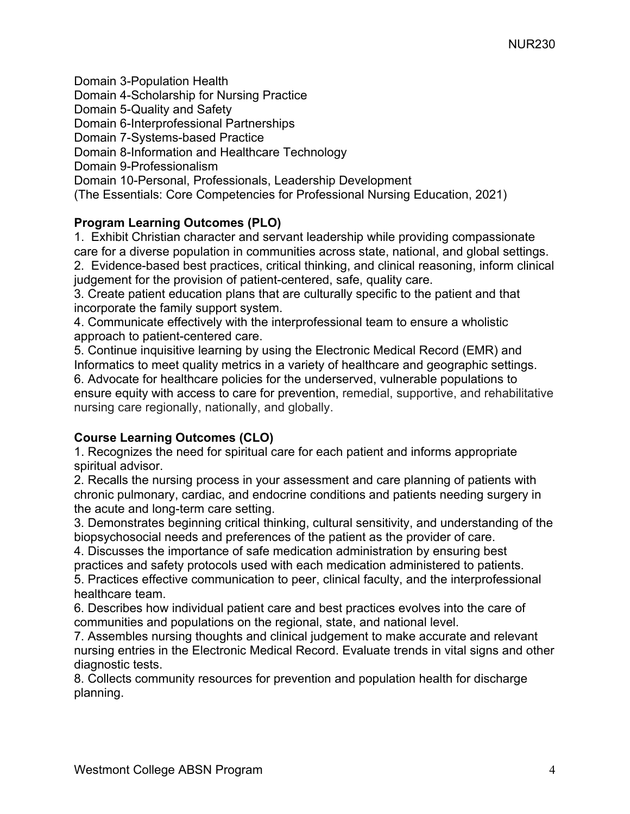Domain 3-Population Health Domain 4-Scholarship for Nursing Practice Domain 5-Quality and Safety Domain 6-Interprofessional Partnerships Domain 7-Systems-based Practice Domain 8-Information and Healthcare Technology Domain 9-Professionalism Domain 10-Personal, Professionals, Leadership Development (The Essentials: Core Competencies for Professional Nursing Education, 2021)

# **Program Learning Outcomes (PLO)**

1. Exhibit Christian character and servant leadership while providing compassionate care for a diverse population in communities across state, national, and global settings. 2. Evidence-based best practices, critical thinking, and clinical reasoning, inform clinical judgement for the provision of patient-centered, safe, quality care.

3. Create patient education plans that are culturally specific to the patient and that incorporate the family support system.

4. Communicate effectively with the interprofessional team to ensure a wholistic approach to patient-centered care.

5. Continue inquisitive learning by using the Electronic Medical Record (EMR) and Informatics to meet quality metrics in a variety of healthcare and geographic settings. 6. Advocate for healthcare policies for the underserved, vulnerable populations to ensure equity with access to care for prevention, remedial, supportive, and rehabilitative nursing care regionally, nationally, and globally.

# **Course Learning Outcomes (CLO)**

1. Recognizes the need for spiritual care for each patient and informs appropriate spiritual advisor.

2. Recalls the nursing process in your assessment and care planning of patients with chronic pulmonary, cardiac, and endocrine conditions and patients needing surgery in the acute and long-term care setting.

3. Demonstrates beginning critical thinking, cultural sensitivity, and understanding of the biopsychosocial needs and preferences of the patient as the provider of care.

4. Discusses the importance of safe medication administration by ensuring best practices and safety protocols used with each medication administered to patients.

5. Practices effective communication to peer, clinical faculty, and the interprofessional healthcare team.

6. Describes how individual patient care and best practices evolves into the care of communities and populations on the regional, state, and national level.

7. Assembles nursing thoughts and clinical judgement to make accurate and relevant nursing entries in the Electronic Medical Record. Evaluate trends in vital signs and other diagnostic tests.

8. Collects community resources for prevention and population health for discharge planning.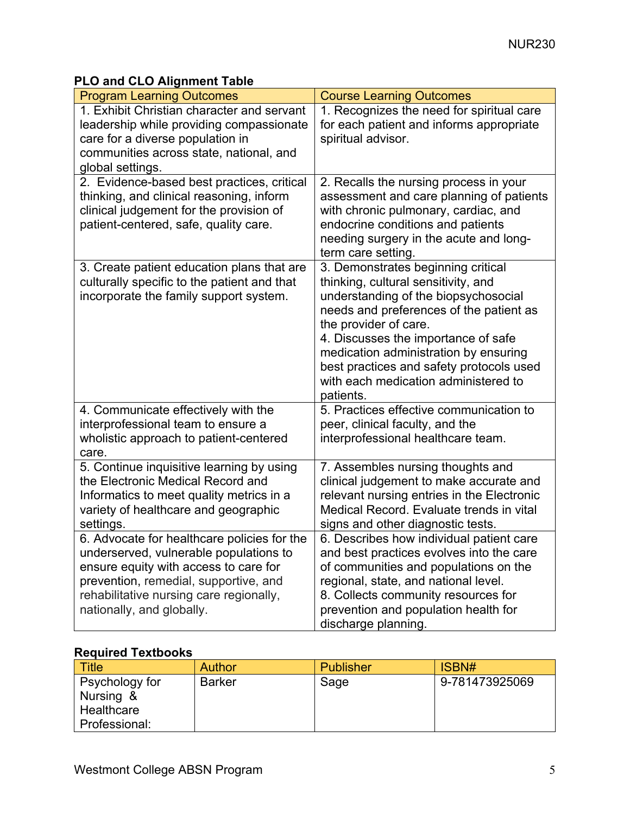# **PLO and CLO Alignment Table**

| <b>Program Learning Outcomes</b>                                                                                                                                                                                                                | <b>Course Learning Outcomes</b>                                                                                                                                                                                                                                                                                                                                        |
|-------------------------------------------------------------------------------------------------------------------------------------------------------------------------------------------------------------------------------------------------|------------------------------------------------------------------------------------------------------------------------------------------------------------------------------------------------------------------------------------------------------------------------------------------------------------------------------------------------------------------------|
| 1. Exhibit Christian character and servant<br>leadership while providing compassionate<br>care for a diverse population in<br>communities across state, national, and<br>global settings.                                                       | 1. Recognizes the need for spiritual care<br>for each patient and informs appropriate<br>spiritual advisor.                                                                                                                                                                                                                                                            |
| 2. Evidence-based best practices, critical<br>thinking, and clinical reasoning, inform<br>clinical judgement for the provision of<br>patient-centered, safe, quality care.                                                                      | 2. Recalls the nursing process in your<br>assessment and care planning of patients<br>with chronic pulmonary, cardiac, and<br>endocrine conditions and patients<br>needing surgery in the acute and long-<br>term care setting.                                                                                                                                        |
| 3. Create patient education plans that are<br>culturally specific to the patient and that<br>incorporate the family support system.                                                                                                             | 3. Demonstrates beginning critical<br>thinking, cultural sensitivity, and<br>understanding of the biopsychosocial<br>needs and preferences of the patient as<br>the provider of care.<br>4. Discusses the importance of safe<br>medication administration by ensuring<br>best practices and safety protocols used<br>with each medication administered to<br>patients. |
| 4. Communicate effectively with the<br>interprofessional team to ensure a<br>wholistic approach to patient-centered<br>care.                                                                                                                    | 5. Practices effective communication to<br>peer, clinical faculty, and the<br>interprofessional healthcare team.                                                                                                                                                                                                                                                       |
| 5. Continue inquisitive learning by using<br>the Electronic Medical Record and<br>Informatics to meet quality metrics in a<br>variety of healthcare and geographic<br>settings.                                                                 | 7. Assembles nursing thoughts and<br>clinical judgement to make accurate and<br>relevant nursing entries in the Electronic<br>Medical Record. Evaluate trends in vital<br>signs and other diagnostic tests.                                                                                                                                                            |
| 6. Advocate for healthcare policies for the<br>underserved, vulnerable populations to<br>ensure equity with access to care for<br>prevention, remedial, supportive, and<br>rehabilitative nursing care regionally,<br>nationally, and globally. | 6. Describes how individual patient care<br>and best practices evolves into the care<br>of communities and populations on the<br>regional, state, and national level.<br>8. Collects community resources for<br>prevention and population health for<br>discharge planning.                                                                                            |

# **Required Textbooks**

| <b>Title</b>   | <b>Author</b> | <b>Publisher</b> | ISBN#          |
|----------------|---------------|------------------|----------------|
| Psychology for | <b>Barker</b> | Sage             | 9-781473925069 |
| Nursing &      |               |                  |                |
| Healthcare     |               |                  |                |
| Professional:  |               |                  |                |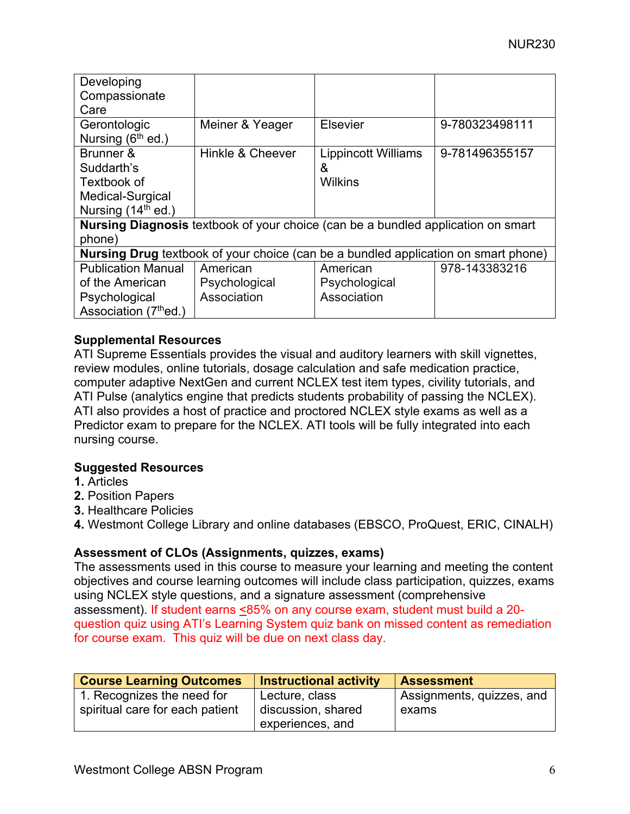| Developing<br>Compassionate<br>Care                                                          |                                                                                           |                                                   |                |  |  |  |
|----------------------------------------------------------------------------------------------|-------------------------------------------------------------------------------------------|---------------------------------------------------|----------------|--|--|--|
| Gerontologic<br>Nursing $(6th$ ed.)                                                          | Meiner & Yeager                                                                           | Elsevier                                          | 9-780323498111 |  |  |  |
| Brunner &<br>Suddarth's<br>Textbook of<br>Medical-Surgical<br>Nursing (14 <sup>th</sup> ed.) | Hinkle & Cheever                                                                          | <b>Lippincott Williams</b><br>&<br><b>Wilkins</b> | 9-781496355157 |  |  |  |
| Nursing Diagnosis textbook of your choice (can be a bundled application on smart<br>phone)   |                                                                                           |                                                   |                |  |  |  |
|                                                                                              | <b>Nursing Drug</b> textbook of your choice (can be a bundled application on smart phone) |                                                   |                |  |  |  |
| <b>Publication Manual</b><br>of the American                                                 | American<br>Psychological                                                                 | American<br>Psychological                         | 978-143383216  |  |  |  |
| Psychological<br>Association (7thed.)                                                        | Association                                                                               | Association                                       |                |  |  |  |

# **Supplemental Resources**

ATI Supreme Essentials provides the visual and auditory learners with skill vignettes, review modules, online tutorials, dosage calculation and safe medication practice, computer adaptive NextGen and current NCLEX test item types, civility tutorials, and ATI Pulse (analytics engine that predicts students probability of passing the NCLEX). ATI also provides a host of practice and proctored NCLEX style exams as well as a Predictor exam to prepare for the NCLEX. ATI tools will be fully integrated into each nursing course.

# **Suggested Resources**

- **1.** Articles
- **2.** Position Papers
- **3.** Healthcare Policies

**4.** Westmont College Library and online databases (EBSCO, ProQuest, ERIC, CINALH)

# **Assessment of CLOs (Assignments, quizzes, exams)**

The assessments used in this course to measure your learning and meeting the content objectives and course learning outcomes will include class participation, quizzes, exams using NCLEX style questions, and a signature assessment (comprehensive assessment). If student earns <85% on any course exam, student must build a 20 question quiz using ATI's Learning System quiz bank on missed content as remediation for course exam. This quiz will be due on next class day.

| <b>Course Learning Outcomes</b> | <b>Instructional activity</b> | <b>Assessment</b>         |
|---------------------------------|-------------------------------|---------------------------|
| 1. Recognizes the need for      | Lecture, class                | Assignments, quizzes, and |
| spiritual care for each patient | discussion, shared            | exams                     |
|                                 | experiences, and              |                           |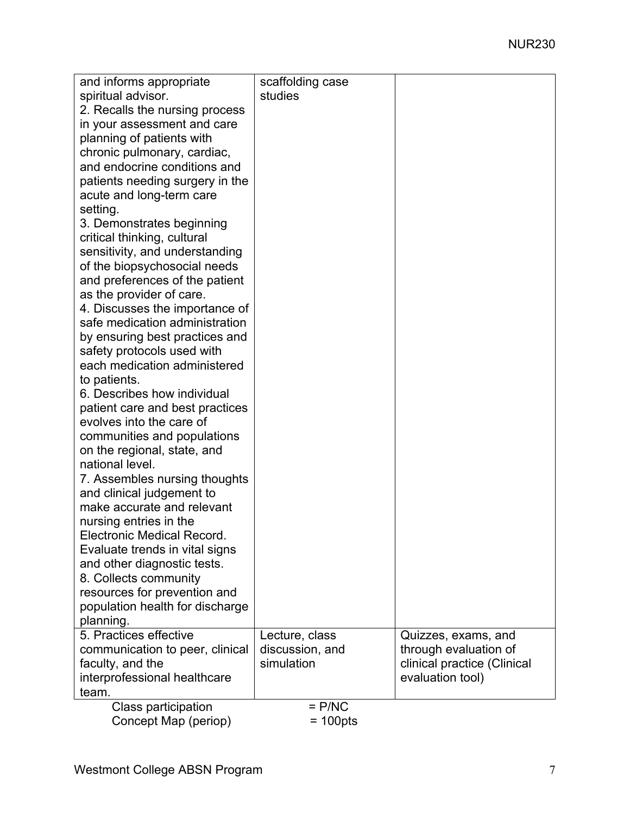| and informs appropriate         | scaffolding case   |                             |
|---------------------------------|--------------------|-----------------------------|
| spiritual advisor.              | studies            |                             |
| 2. Recalls the nursing process  |                    |                             |
| in your assessment and care     |                    |                             |
| planning of patients with       |                    |                             |
| chronic pulmonary, cardiac,     |                    |                             |
| and endocrine conditions and    |                    |                             |
| patients needing surgery in the |                    |                             |
| acute and long-term care        |                    |                             |
| setting.                        |                    |                             |
| 3. Demonstrates beginning       |                    |                             |
| critical thinking, cultural     |                    |                             |
| sensitivity, and understanding  |                    |                             |
| of the biopsychosocial needs    |                    |                             |
| and preferences of the patient  |                    |                             |
| as the provider of care.        |                    |                             |
|                                 |                    |                             |
| 4. Discusses the importance of  |                    |                             |
| safe medication administration  |                    |                             |
| by ensuring best practices and  |                    |                             |
| safety protocols used with      |                    |                             |
| each medication administered    |                    |                             |
| to patients.                    |                    |                             |
| 6. Describes how individual     |                    |                             |
| patient care and best practices |                    |                             |
| evolves into the care of        |                    |                             |
| communities and populations     |                    |                             |
| on the regional, state, and     |                    |                             |
| national level.                 |                    |                             |
| 7. Assembles nursing thoughts   |                    |                             |
| and clinical judgement to       |                    |                             |
| make accurate and relevant      |                    |                             |
| nursing entries in the          |                    |                             |
| Electronic Medical Record.      |                    |                             |
| Evaluate trends in vital signs  |                    |                             |
| and other diagnostic tests.     |                    |                             |
| 8. Collects community           |                    |                             |
| resources for prevention and    |                    |                             |
| population health for discharge |                    |                             |
| planning.                       |                    |                             |
| 5. Practices effective          | Lecture, class     | Quizzes, exams, and         |
| communication to peer, clinical | discussion, and    | through evaluation of       |
| faculty, and the                | simulation         | clinical practice (Clinical |
|                                 |                    |                             |
| interprofessional healthcare    |                    | evaluation tool)            |
| team.                           |                    |                             |
| <b>Class participation</b>      | $=$ P/NC           |                             |
| Concept Map (periop)            | $= 100 \text{pts}$ |                             |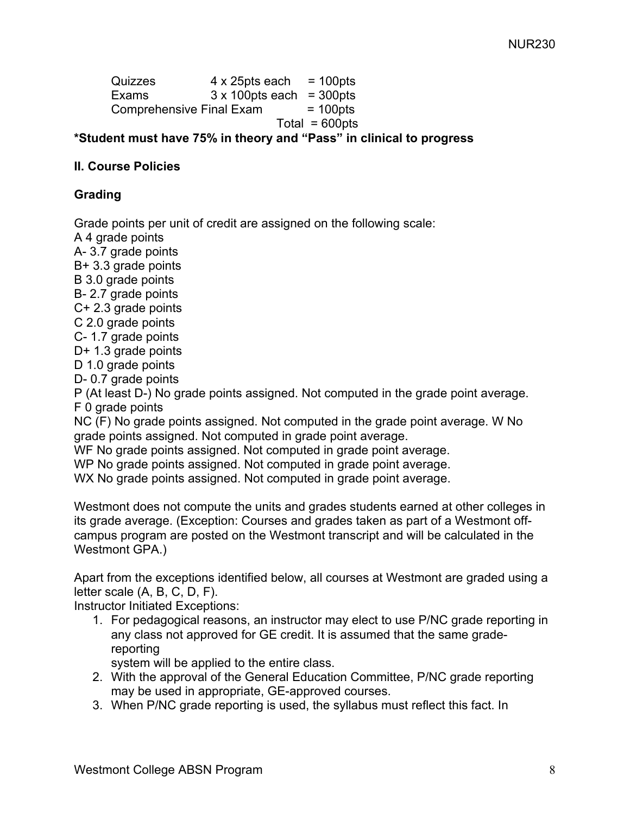Quizzes  $4 \times 25$ pts each = 100pts Exams  $3 \times 100$  pts each = 300 pts Comprehensive Final Exam  $= 100$ pts  $Total = 600pts$ 

**\*Student must have 75% in theory and "Pass" in clinical to progress** 

# **II. Course Policies**

# **Grading**

Grade points per unit of credit are assigned on the following scale:

A 4 grade points

A- 3.7 grade points

B+ 3.3 grade points

B 3.0 grade points

B- 2.7 grade points

C+ 2.3 grade points

C 2.0 grade points

C- 1.7 grade points

D+ 1.3 grade points

D 1.0 grade points

D- 0.7 grade points

P (At least D-) No grade points assigned. Not computed in the grade point average. F 0 grade points

NC (F) No grade points assigned. Not computed in the grade point average. W No grade points assigned. Not computed in grade point average.

WF No grade points assigned. Not computed in grade point average.

WP No grade points assigned. Not computed in grade point average.

WX No grade points assigned. Not computed in grade point average.

Westmont does not compute the units and grades students earned at other colleges in its grade average. (Exception: Courses and grades taken as part of a Westmont offcampus program are posted on the Westmont transcript and will be calculated in the Westmont GPA.)

Apart from the exceptions identified below, all courses at Westmont are graded using a letter scale (A, B, C, D, F).

Instructor Initiated Exceptions:

1. For pedagogical reasons, an instructor may elect to use P/NC grade reporting in any class not approved for GE credit. It is assumed that the same gradereporting

system will be applied to the entire class.

- 2. With the approval of the General Education Committee, P/NC grade reporting may be used in appropriate, GE-approved courses.
- 3. When P/NC grade reporting is used, the syllabus must reflect this fact. In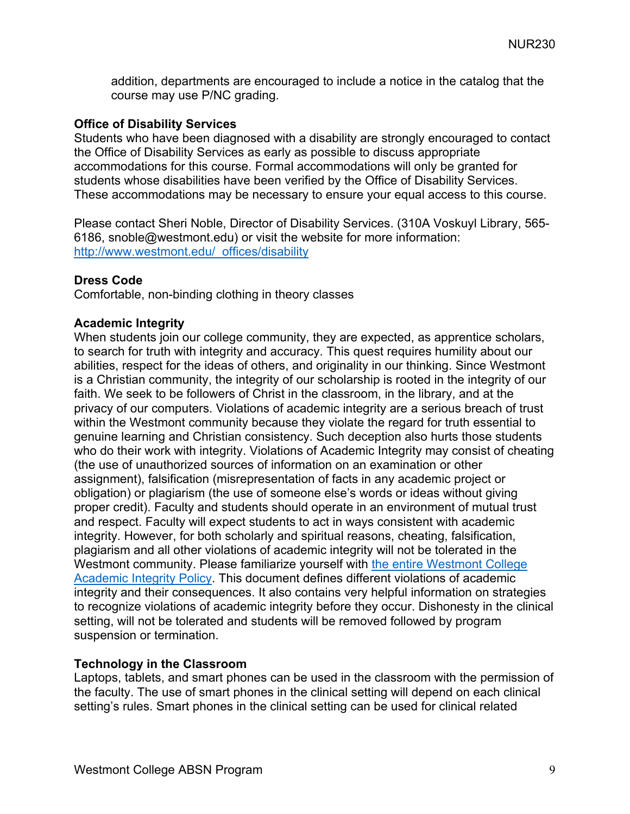addition, departments are encouraged to include a notice in the catalog that the course may use P/NC grading.

# **Office of Disability Services**

Students who have been diagnosed with a disability are strongly encouraged to contact the Office of Disability Services as early as possible to discuss appropriate accommodations for this course. Formal accommodations will only be granted for students whose disabilities have been verified by the Office of Disability Services. These accommodations may be necessary to ensure your equal access to this course.

Please contact Sheri Noble, Director of Disability Services. (310A Voskuyl Library, 565- 6186, snoble@westmont.edu) or visit the website for more information: http://www.westmont.edu/\_offices/disability

# **Dress Code**

Comfortable, non-binding clothing in theory classes

# **Academic Integrity**

When students join our college community, they are expected, as apprentice scholars, to search for truth with integrity and accuracy. This quest requires humility about our abilities, respect for the ideas of others, and originality in our thinking. Since Westmont is a Christian community, the integrity of our scholarship is rooted in the integrity of our faith. We seek to be followers of Christ in the classroom, in the library, and at the privacy of our computers. Violations of academic integrity are a serious breach of trust within the Westmont community because they violate the regard for truth essential to genuine learning and Christian consistency. Such deception also hurts those students who do their work with integrity. Violations of Academic Integrity may consist of cheating (the use of unauthorized sources of information on an examination or other assignment), falsification (misrepresentation of facts in any academic project or obligation) or plagiarism (the use of someone else's words or ideas without giving proper credit). Faculty and students should operate in an environment of mutual trust and respect. Faculty will expect students to act in ways consistent with academic integrity. However, for both scholarly and spiritual reasons, cheating, falsification, plagiarism and all other violations of academic integrity will not be tolerated in the Westmont community. Please familiarize yourself with the entire Westmont College Academic Integrity Policy. This document defines different violations of academic integrity and their consequences. It also contains very helpful information on strategies to recognize violations of academic integrity before they occur. Dishonesty in the clinical setting, will not be tolerated and students will be removed followed by program suspension or termination.

# **Technology in the Classroom**

Laptops, tablets, and smart phones can be used in the classroom with the permission of the faculty. The use of smart phones in the clinical setting will depend on each clinical setting's rules. Smart phones in the clinical setting can be used for clinical related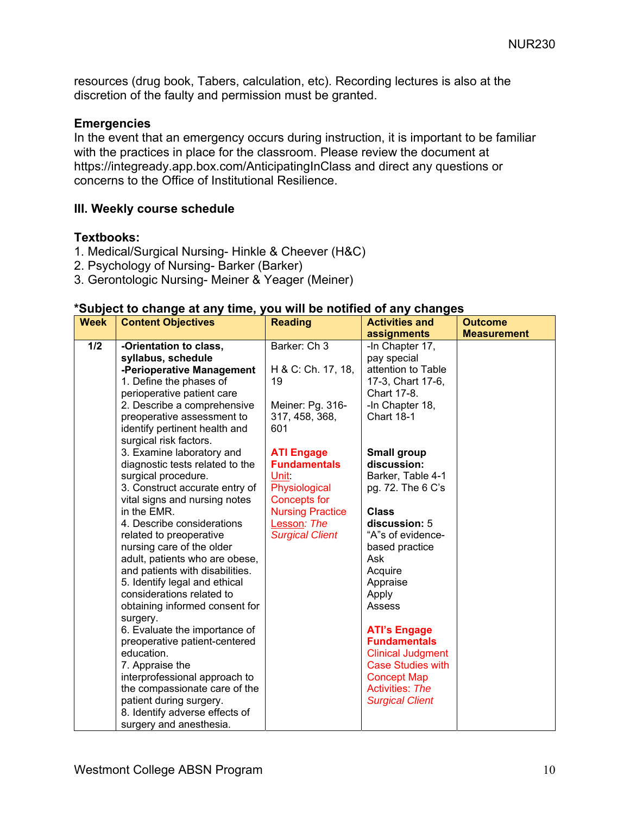resources (drug book, Tabers, calculation, etc). Recording lectures is also at the discretion of the faulty and permission must be granted.

#### **Emergencies**

In the event that an emergency occurs during instruction, it is important to be familiar with the practices in place for the classroom. Please review the document at https://integready.app.box.com/AnticipatingInClass and direct any questions or concerns to the Office of Institutional Resilience.

# **III. Weekly course schedule**

#### **Textbooks:**

- 1. Medical/Surgical Nursing- Hinkle & Cheever (H&C)
- 2. Psychology of Nursing- Barker (Barker)
- 3. Gerontologic Nursing- Meiner & Yeager (Meiner)

#### **\*Subject to change at any time, you will be notified of any changes**

| <b>Week</b> | <b>Content Objectives</b>                                                                                                                                                                                                                                                                                                                                                                                                                                                                                                                                                                | <b>Reading</b>                                    | <b>Activities and</b>                                                                                                                                                                                                                                                                         | <b>Outcome</b>     |
|-------------|------------------------------------------------------------------------------------------------------------------------------------------------------------------------------------------------------------------------------------------------------------------------------------------------------------------------------------------------------------------------------------------------------------------------------------------------------------------------------------------------------------------------------------------------------------------------------------------|---------------------------------------------------|-----------------------------------------------------------------------------------------------------------------------------------------------------------------------------------------------------------------------------------------------------------------------------------------------|--------------------|
| 1/2         | -Orientation to class,                                                                                                                                                                                                                                                                                                                                                                                                                                                                                                                                                                   | Barker: Ch 3                                      | assignments<br>-In Chapter 17,                                                                                                                                                                                                                                                                | <b>Measurement</b> |
|             | syllabus, schedule                                                                                                                                                                                                                                                                                                                                                                                                                                                                                                                                                                       |                                                   | pay special                                                                                                                                                                                                                                                                                   |                    |
|             | -Perioperative Management                                                                                                                                                                                                                                                                                                                                                                                                                                                                                                                                                                | H & C: Ch. 17, 18,                                | attention to Table                                                                                                                                                                                                                                                                            |                    |
|             | 1. Define the phases of                                                                                                                                                                                                                                                                                                                                                                                                                                                                                                                                                                  | 19                                                | 17-3, Chart 17-6,                                                                                                                                                                                                                                                                             |                    |
|             | perioperative patient care                                                                                                                                                                                                                                                                                                                                                                                                                                                                                                                                                               |                                                   | Chart 17-8.                                                                                                                                                                                                                                                                                   |                    |
|             | 2. Describe a comprehensive                                                                                                                                                                                                                                                                                                                                                                                                                                                                                                                                                              | Meiner: Pg. 316-                                  | -In Chapter 18,                                                                                                                                                                                                                                                                               |                    |
|             | preoperative assessment to                                                                                                                                                                                                                                                                                                                                                                                                                                                                                                                                                               | 317, 458, 368,                                    | <b>Chart 18-1</b>                                                                                                                                                                                                                                                                             |                    |
|             | identify pertinent health and                                                                                                                                                                                                                                                                                                                                                                                                                                                                                                                                                            | 601                                               |                                                                                                                                                                                                                                                                                               |                    |
|             |                                                                                                                                                                                                                                                                                                                                                                                                                                                                                                                                                                                          |                                                   |                                                                                                                                                                                                                                                                                               |                    |
|             |                                                                                                                                                                                                                                                                                                                                                                                                                                                                                                                                                                                          |                                                   |                                                                                                                                                                                                                                                                                               |                    |
|             |                                                                                                                                                                                                                                                                                                                                                                                                                                                                                                                                                                                          |                                                   | discussion:                                                                                                                                                                                                                                                                                   |                    |
|             |                                                                                                                                                                                                                                                                                                                                                                                                                                                                                                                                                                                          |                                                   |                                                                                                                                                                                                                                                                                               |                    |
|             | 3. Construct accurate entry of                                                                                                                                                                                                                                                                                                                                                                                                                                                                                                                                                           | Physiological                                     | pg. 72. The 6 C's                                                                                                                                                                                                                                                                             |                    |
|             | vital signs and nursing notes                                                                                                                                                                                                                                                                                                                                                                                                                                                                                                                                                            | <b>Concepts for</b>                               |                                                                                                                                                                                                                                                                                               |                    |
|             | in the EMR.                                                                                                                                                                                                                                                                                                                                                                                                                                                                                                                                                                              | <b>Nursing Practice</b>                           | <b>Class</b>                                                                                                                                                                                                                                                                                  |                    |
|             | 4. Describe considerations                                                                                                                                                                                                                                                                                                                                                                                                                                                                                                                                                               | Lesson: The                                       | discussion: 5                                                                                                                                                                                                                                                                                 |                    |
|             | related to preoperative                                                                                                                                                                                                                                                                                                                                                                                                                                                                                                                                                                  | <b>Surgical Client</b>                            |                                                                                                                                                                                                                                                                                               |                    |
|             |                                                                                                                                                                                                                                                                                                                                                                                                                                                                                                                                                                                          |                                                   | based practice                                                                                                                                                                                                                                                                                |                    |
|             |                                                                                                                                                                                                                                                                                                                                                                                                                                                                                                                                                                                          |                                                   |                                                                                                                                                                                                                                                                                               |                    |
|             |                                                                                                                                                                                                                                                                                                                                                                                                                                                                                                                                                                                          |                                                   |                                                                                                                                                                                                                                                                                               |                    |
|             |                                                                                                                                                                                                                                                                                                                                                                                                                                                                                                                                                                                          |                                                   |                                                                                                                                                                                                                                                                                               |                    |
|             |                                                                                                                                                                                                                                                                                                                                                                                                                                                                                                                                                                                          |                                                   |                                                                                                                                                                                                                                                                                               |                    |
|             |                                                                                                                                                                                                                                                                                                                                                                                                                                                                                                                                                                                          |                                                   |                                                                                                                                                                                                                                                                                               |                    |
|             |                                                                                                                                                                                                                                                                                                                                                                                                                                                                                                                                                                                          |                                                   |                                                                                                                                                                                                                                                                                               |                    |
|             |                                                                                                                                                                                                                                                                                                                                                                                                                                                                                                                                                                                          |                                                   |                                                                                                                                                                                                                                                                                               |                    |
|             |                                                                                                                                                                                                                                                                                                                                                                                                                                                                                                                                                                                          |                                                   |                                                                                                                                                                                                                                                                                               |                    |
|             |                                                                                                                                                                                                                                                                                                                                                                                                                                                                                                                                                                                          |                                                   |                                                                                                                                                                                                                                                                                               |                    |
|             |                                                                                                                                                                                                                                                                                                                                                                                                                                                                                                                                                                                          |                                                   |                                                                                                                                                                                                                                                                                               |                    |
|             |                                                                                                                                                                                                                                                                                                                                                                                                                                                                                                                                                                                          |                                                   |                                                                                                                                                                                                                                                                                               |                    |
|             |                                                                                                                                                                                                                                                                                                                                                                                                                                                                                                                                                                                          |                                                   |                                                                                                                                                                                                                                                                                               |                    |
|             |                                                                                                                                                                                                                                                                                                                                                                                                                                                                                                                                                                                          |                                                   |                                                                                                                                                                                                                                                                                               |                    |
|             |                                                                                                                                                                                                                                                                                                                                                                                                                                                                                                                                                                                          |                                                   |                                                                                                                                                                                                                                                                                               |                    |
|             | surgical risk factors.<br>3. Examine laboratory and<br>diagnostic tests related to the<br>surgical procedure.<br>nursing care of the older<br>adult, patients who are obese,<br>and patients with disabilities.<br>5. Identify legal and ethical<br>considerations related to<br>obtaining informed consent for<br>surgery.<br>6. Evaluate the importance of<br>preoperative patient-centered<br>education.<br>7. Appraise the<br>interprofessional approach to<br>the compassionate care of the<br>patient during surgery.<br>8. Identify adverse effects of<br>surgery and anesthesia. | <b>ATI Engage</b><br><b>Fundamentals</b><br>Unit: | <b>Small group</b><br>Barker, Table 4-1<br>"A"s of evidence-<br>Ask<br>Acquire<br>Appraise<br>Apply<br>Assess<br><b>ATI's Engage</b><br><b>Fundamentals</b><br><b>Clinical Judgment</b><br><b>Case Studies with</b><br><b>Concept Map</b><br><b>Activities: The</b><br><b>Surgical Client</b> |                    |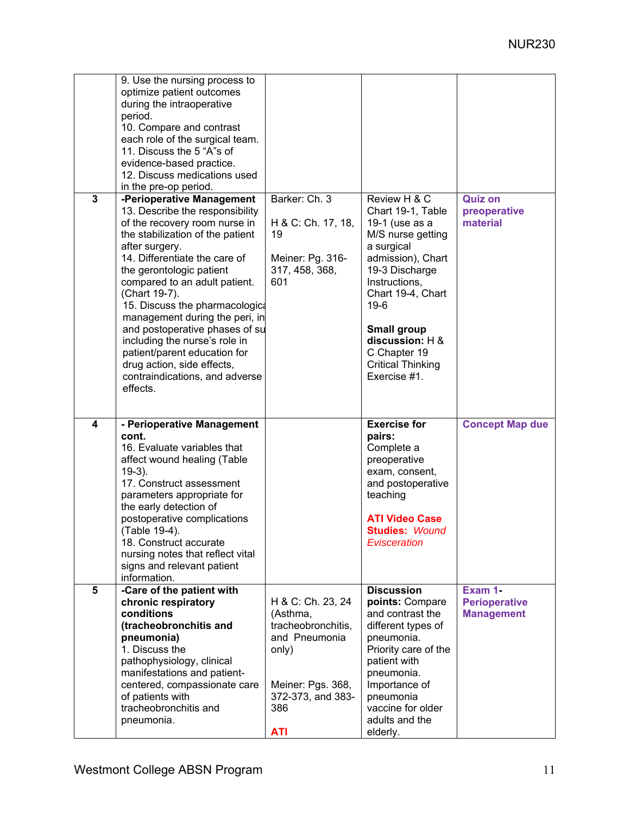|                | 9. Use the nursing process to<br>optimize patient outcomes<br>during the intraoperative<br>period.<br>10. Compare and contrast<br>each role of the surgical team.                                                                                                                                                                                                                                                                                                                                                                              |                                                                                        |                                                                                                                                                                                                                                                                                    |                                            |
|----------------|------------------------------------------------------------------------------------------------------------------------------------------------------------------------------------------------------------------------------------------------------------------------------------------------------------------------------------------------------------------------------------------------------------------------------------------------------------------------------------------------------------------------------------------------|----------------------------------------------------------------------------------------|------------------------------------------------------------------------------------------------------------------------------------------------------------------------------------------------------------------------------------------------------------------------------------|--------------------------------------------|
|                | 11. Discuss the 5 "A"s of<br>evidence-based practice.<br>12. Discuss medications used                                                                                                                                                                                                                                                                                                                                                                                                                                                          |                                                                                        |                                                                                                                                                                                                                                                                                    |                                            |
| $\overline{3}$ | in the pre-op period.<br>-Perioperative Management<br>13. Describe the responsibility<br>of the recovery room nurse in<br>the stabilization of the patient<br>after surgery.<br>14. Differentiate the care of<br>the gerontologic patient<br>compared to an adult patient.<br>(Chart 19-7).<br>15. Discuss the pharmacologica<br>management during the peri, in<br>and postoperative phases of su<br>including the nurse's role in<br>patient/parent education for<br>drug action, side effects,<br>contraindications, and adverse<br>effects. | Barker: Ch. 3<br>H & C: Ch. 17, 18,<br>19<br>Meiner: Pg. 316-<br>317, 458, 368,<br>601 | Review H & C<br>Chart 19-1, Table<br>19-1 (use as a<br>M/S nurse getting<br>a surgical<br>admission), Chart<br>19-3 Discharge<br>Instructions,<br>Chart 19-4, Chart<br>$19-6$<br><b>Small group</b><br>discussion: H &<br>C Chapter 19<br><b>Critical Thinking</b><br>Exercise #1. | <b>Quiz on</b><br>preoperative<br>material |
|                |                                                                                                                                                                                                                                                                                                                                                                                                                                                                                                                                                |                                                                                        |                                                                                                                                                                                                                                                                                    |                                            |
| $\overline{4}$ | - Perioperative Management<br>cont.<br>16. Evaluate variables that<br>affect wound healing (Table<br>$19-3$ ).<br>17. Construct assessment<br>parameters appropriate for<br>the early detection of<br>postoperative complications<br>(Table 19-4).<br>18. Construct accurate<br>nursing notes that reflect vital<br>signs and relevant patient<br>information.                                                                                                                                                                                 |                                                                                        | <b>Exercise for</b><br>pairs:<br>Complete a<br>preoperative<br>exam, consent,<br>and postoperative<br>teaching<br><b>ATI Video Case</b><br><b>Studies: Wound</b><br>Evisceration                                                                                                   | <b>Concept Map due</b>                     |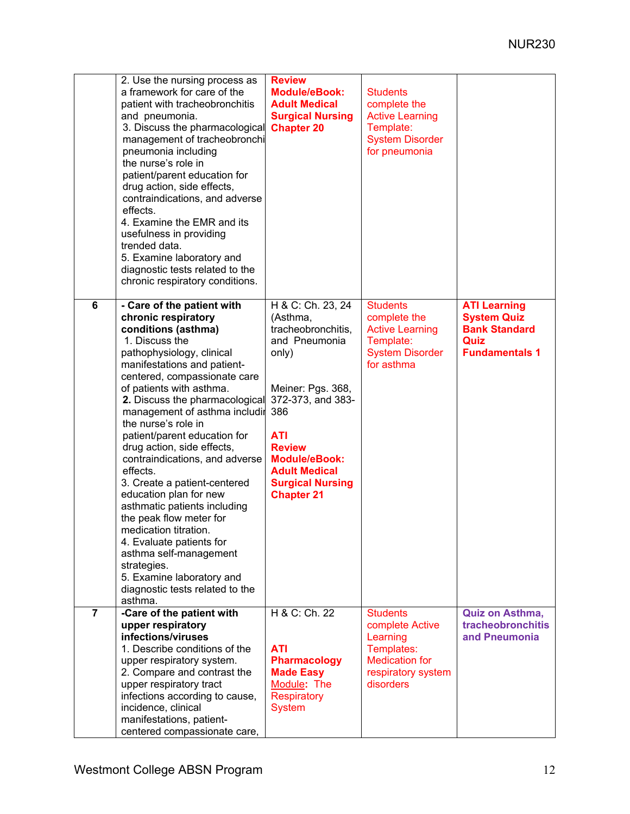|                | 2. Use the nursing process as<br>a framework for care of the<br>patient with tracheobronchitis<br>and pneumonia.<br>3. Discuss the pharmacological<br>management of tracheobronchi<br>pneumonia including<br>the nurse's role in<br>patient/parent education for<br>drug action, side effects,<br>contraindications, and adverse<br>effects.<br>4. Examine the EMR and its<br>usefulness in providing<br>trended data.<br>5. Examine laboratory and<br>diagnostic tests related to the<br>chronic respiratory conditions.                                                                                                                                                                                              | <b>Review</b><br><b>Module/eBook:</b><br><b>Adult Medical</b><br><b>Surgical Nursing</b><br><b>Chapter 20</b>                                                                                                                                                 | <b>Students</b><br>complete the<br><b>Active Learning</b><br>Template:<br><b>System Disorder</b><br>for pneumonia        |                                                                                                    |
|----------------|------------------------------------------------------------------------------------------------------------------------------------------------------------------------------------------------------------------------------------------------------------------------------------------------------------------------------------------------------------------------------------------------------------------------------------------------------------------------------------------------------------------------------------------------------------------------------------------------------------------------------------------------------------------------------------------------------------------------|---------------------------------------------------------------------------------------------------------------------------------------------------------------------------------------------------------------------------------------------------------------|--------------------------------------------------------------------------------------------------------------------------|----------------------------------------------------------------------------------------------------|
| 6              | - Care of the patient with<br>chronic respiratory<br>conditions (asthma)<br>1. Discuss the<br>pathophysiology, clinical<br>manifestations and patient-<br>centered, compassionate care<br>of patients with asthma.<br>2. Discuss the pharmacological<br>management of asthma includir<br>the nurse's role in<br>patient/parent education for<br>drug action, side effects,<br>contraindications, and adverse<br>effects.<br>3. Create a patient-centered<br>education plan for new<br>asthmatic patients including<br>the peak flow meter for<br>medication titration.<br>4. Evaluate patients for<br>asthma self-management<br>strategies.<br>5. Examine laboratory and<br>diagnostic tests related to the<br>asthma. | H & C: Ch. 23, 24<br>(Asthma,<br>tracheobronchitis,<br>and Pneumonia<br>only)<br>Meiner: Pgs. 368,<br>372-373, and 383-<br>386<br><b>ATI</b><br><b>Review</b><br><b>Module/eBook:</b><br><b>Adult Medical</b><br><b>Surgical Nursing</b><br><b>Chapter 21</b> | <b>Students</b><br>complete the<br><b>Active Learning</b><br>Template:<br><b>System Disorder</b><br>for asthma           | <b>ATI Learning</b><br><b>System Quiz</b><br><b>Bank Standard</b><br>Quiz<br><b>Fundamentals 1</b> |
| $\overline{7}$ | -Care of the patient with<br>upper respiratory<br>infections/viruses<br>1. Describe conditions of the<br>upper respiratory system.<br>2. Compare and contrast the<br>upper respiratory tract<br>infections according to cause,<br>incidence, clinical<br>manifestations, patient-<br>centered compassionate care,                                                                                                                                                                                                                                                                                                                                                                                                      | H & C: Ch. 22<br><b>ATI</b><br><b>Pharmacology</b><br><b>Made Easy</b><br>Module: The<br><b>Respiratory</b><br><b>System</b>                                                                                                                                  | <b>Students</b><br>complete Active<br>Learning<br>Templates:<br><b>Medication for</b><br>respiratory system<br>disorders | Quiz on Asthma,<br>tracheobronchitis<br>and Pneumonia                                              |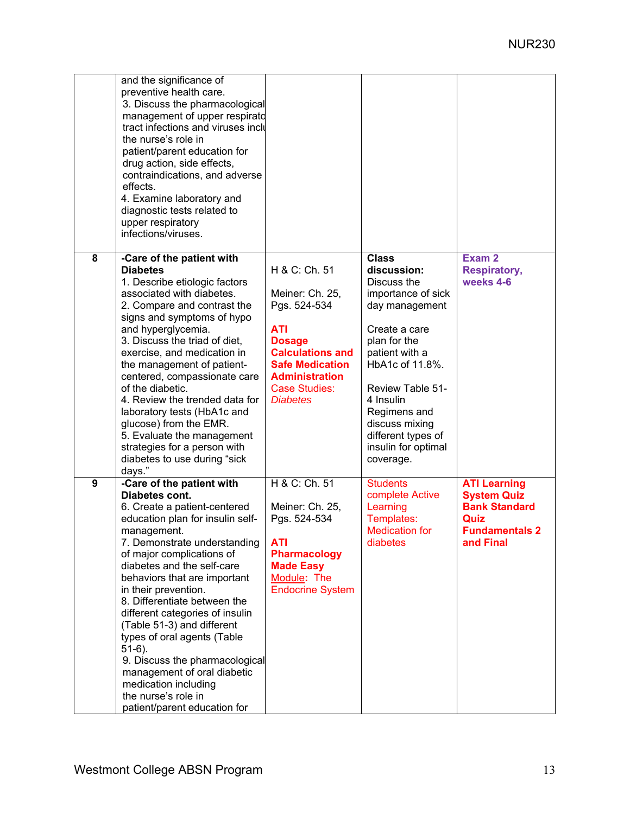|   | and the significance of<br>preventive health care.<br>3. Discuss the pharmacological<br>management of upper respirato<br>tract infections and viruses inclu<br>the nurse's role in<br>patient/parent education for<br>drug action, side effects,<br>contraindications, and adverse<br>effects.<br>4. Examine laboratory and<br>diagnostic tests related to<br>upper respiratory<br>infections/viruses.                                                                                                                                                                         |                                                                                                                                                                                                          |                                                                                                                                                                                                                                                                                       |                                                                                                          |
|---|--------------------------------------------------------------------------------------------------------------------------------------------------------------------------------------------------------------------------------------------------------------------------------------------------------------------------------------------------------------------------------------------------------------------------------------------------------------------------------------------------------------------------------------------------------------------------------|----------------------------------------------------------------------------------------------------------------------------------------------------------------------------------------------------------|---------------------------------------------------------------------------------------------------------------------------------------------------------------------------------------------------------------------------------------------------------------------------------------|----------------------------------------------------------------------------------------------------------|
| 8 | -Care of the patient with<br><b>Diabetes</b><br>1. Describe etiologic factors<br>associated with diabetes.<br>2. Compare and contrast the<br>signs and symptoms of hypo<br>and hyperglycemia.<br>3. Discuss the triad of diet,<br>exercise, and medication in<br>the management of patient-<br>centered, compassionate care<br>of the diabetic.<br>4. Review the trended data for<br>laboratory tests (HbA1c and<br>glucose) from the EMR.<br>5. Evaluate the management<br>strategies for a person with<br>diabetes to use during "sick<br>days."                             | H & C: Ch. 51<br>Meiner: Ch. 25,<br>Pgs. 524-534<br><b>ATI</b><br><b>Dosage</b><br><b>Calculations and</b><br><b>Safe Medication</b><br><b>Administration</b><br><b>Case Studies:</b><br><b>Diabetes</b> | <b>Class</b><br>discussion:<br>Discuss the<br>importance of sick<br>day management<br>Create a care<br>plan for the<br>patient with a<br>HbA1c of 11.8%.<br>Review Table 51-<br>4 Insulin<br>Regimens and<br>discuss mixing<br>different types of<br>insulin for optimal<br>coverage. | Exam 2<br><b>Respiratory,</b><br>weeks 4-6                                                               |
| 9 | -Care of the patient with<br>Diabetes cont.<br>6. Create a patient-centered<br>education plan for insulin self-<br>management.<br>7. Demonstrate understanding<br>of major complications of<br>diabetes and the self-care<br>behaviors that are important<br>in their prevention.<br>8. Differentiate between the<br>different categories of insulin<br>(Table 51-3) and different<br>types of oral agents (Table<br>$51-6$ ).<br>9. Discuss the pharmacological<br>management of oral diabetic<br>medication including<br>the nurse's role in<br>patient/parent education for | H & C: Ch. 51<br>Meiner: Ch. 25,<br>Pgs. 524-534<br>ATI<br><b>Pharmacology</b><br><b>Made Easy</b><br>Module: The<br><b>Endocrine System</b>                                                             | <b>Students</b><br>complete Active<br>Learning<br>Templates:<br>Medication for<br>diabetes                                                                                                                                                                                            | <b>ATI Learning</b><br><b>System Quiz</b><br><b>Bank Standard</b><br>Quiz<br>Fundamentals 2<br>and Final |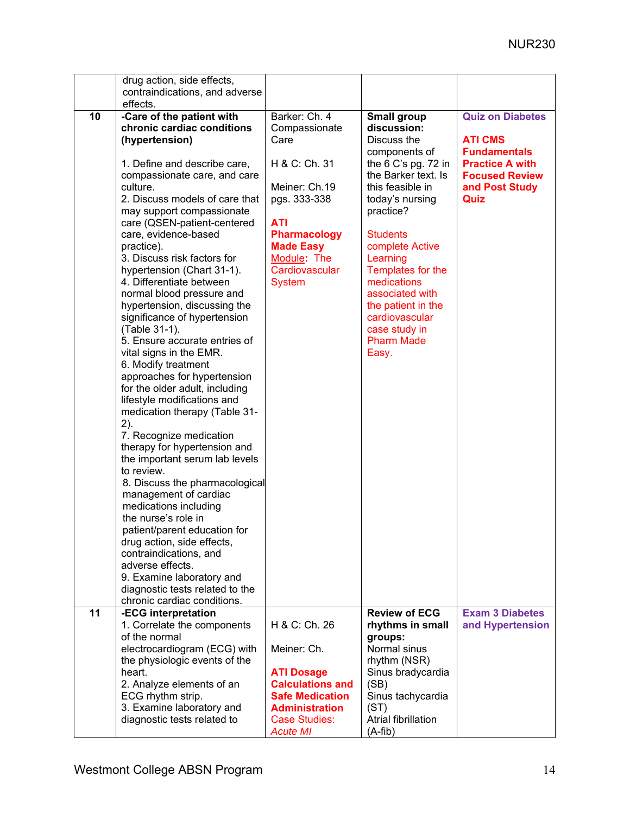|    | drug action, side effects,                                                                                                                                                                                                                                                                                                                                                                                                                                                                                                                                                                                                                                                                                                                                    |                                                                                                                                                                                                     |                                                                                                                                                                                                                                                                                                                                                                        |                                                                                                                                               |
|----|---------------------------------------------------------------------------------------------------------------------------------------------------------------------------------------------------------------------------------------------------------------------------------------------------------------------------------------------------------------------------------------------------------------------------------------------------------------------------------------------------------------------------------------------------------------------------------------------------------------------------------------------------------------------------------------------------------------------------------------------------------------|-----------------------------------------------------------------------------------------------------------------------------------------------------------------------------------------------------|------------------------------------------------------------------------------------------------------------------------------------------------------------------------------------------------------------------------------------------------------------------------------------------------------------------------------------------------------------------------|-----------------------------------------------------------------------------------------------------------------------------------------------|
|    | effects.                                                                                                                                                                                                                                                                                                                                                                                                                                                                                                                                                                                                                                                                                                                                                      |                                                                                                                                                                                                     |                                                                                                                                                                                                                                                                                                                                                                        |                                                                                                                                               |
| 10 | contraindications, and adverse<br>-Care of the patient with<br>chronic cardiac conditions<br>(hypertension)<br>1. Define and describe care,<br>compassionate care, and care<br>culture.<br>2. Discuss models of care that<br>may support compassionate<br>care (QSEN-patient-centered<br>care, evidence-based<br>practice).<br>3. Discuss risk factors for<br>hypertension (Chart 31-1).<br>4. Differentiate between<br>normal blood pressure and<br>hypertension, discussing the<br>significance of hypertension<br>(Table 31-1).<br>5. Ensure accurate entries of<br>vital signs in the EMR.<br>6. Modify treatment<br>approaches for hypertension<br>for the older adult, including<br>lifestyle modifications and<br>medication therapy (Table 31-<br>2). | Barker: Ch. 4<br>Compassionate<br>Care<br>H & C: Ch. 31<br>Meiner: Ch.19<br>pgs. 333-338<br><b>ATI</b><br><b>Pharmacology</b><br><b>Made Easy</b><br>Module: The<br>Cardiovascular<br><b>System</b> | <b>Small group</b><br>discussion:<br>Discuss the<br>components of<br>the $6 C$ 's pg. 72 in<br>the Barker text. Is<br>this feasible in<br>today's nursing<br>practice?<br><b>Students</b><br>complete Active<br>Learning<br>Templates for the<br>medications<br>associated with<br>the patient in the<br>cardiovascular<br>case study in<br><b>Pharm Made</b><br>Easy. | <b>Quiz on Diabetes</b><br><b>ATI CMS</b><br><b>Fundamentals</b><br><b>Practice A with</b><br><b>Focused Review</b><br>and Post Study<br>Quiz |
|    | 7. Recognize medication<br>therapy for hypertension and<br>the important serum lab levels<br>to review.<br>8. Discuss the pharmacological<br>management of cardiac<br>medications including<br>the nurse's role in<br>patient/parent education for<br>drug action, side effects,<br>contraindications, and<br>adverse effects.<br>9. Examine laboratory and<br>diagnostic tests related to the                                                                                                                                                                                                                                                                                                                                                                |                                                                                                                                                                                                     |                                                                                                                                                                                                                                                                                                                                                                        |                                                                                                                                               |
| 11 | chronic cardiac conditions.<br>-ECG interpretation                                                                                                                                                                                                                                                                                                                                                                                                                                                                                                                                                                                                                                                                                                            |                                                                                                                                                                                                     | <b>Review of ECG</b>                                                                                                                                                                                                                                                                                                                                                   | <b>Exam 3 Diabetes</b>                                                                                                                        |
|    | 1. Correlate the components<br>of the normal<br>electrocardiogram (ECG) with                                                                                                                                                                                                                                                                                                                                                                                                                                                                                                                                                                                                                                                                                  | H & C: Ch. 26<br>Meiner: Ch.                                                                                                                                                                        | rhythms in small<br>groups:<br>Normal sinus                                                                                                                                                                                                                                                                                                                            | and Hypertension                                                                                                                              |
|    | the physiologic events of the<br>heart.<br>2. Analyze elements of an<br>ECG rhythm strip.<br>3. Examine laboratory and<br>diagnostic tests related to                                                                                                                                                                                                                                                                                                                                                                                                                                                                                                                                                                                                         | <b>ATI Dosage</b><br><b>Calculations and</b><br><b>Safe Medication</b><br><b>Administration</b><br><b>Case Studies:</b><br><b>Acute MI</b>                                                          | rhythm (NSR)<br>Sinus bradycardia<br>(SB)<br>Sinus tachycardia<br>(ST)<br>Atrial fibrillation<br>$(A-fib)$                                                                                                                                                                                                                                                             |                                                                                                                                               |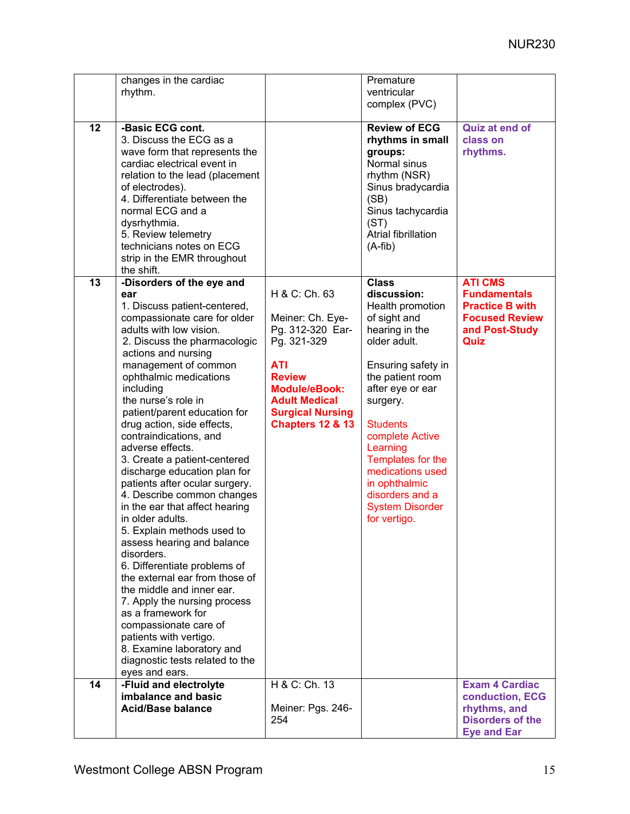|                 | changes in the cardiac                                                                                                                                                                                                                                                                                                                                                                                                                                                                                                                                                                                                                                                                                                                                                                                                                                                                                                                         |                                                                                                                                                                                                               | Premature                                                                                                                                                                                                                                                                                                                                            |                                                                                                                    |
|-----------------|------------------------------------------------------------------------------------------------------------------------------------------------------------------------------------------------------------------------------------------------------------------------------------------------------------------------------------------------------------------------------------------------------------------------------------------------------------------------------------------------------------------------------------------------------------------------------------------------------------------------------------------------------------------------------------------------------------------------------------------------------------------------------------------------------------------------------------------------------------------------------------------------------------------------------------------------|---------------------------------------------------------------------------------------------------------------------------------------------------------------------------------------------------------------|------------------------------------------------------------------------------------------------------------------------------------------------------------------------------------------------------------------------------------------------------------------------------------------------------------------------------------------------------|--------------------------------------------------------------------------------------------------------------------|
|                 | rhythm.                                                                                                                                                                                                                                                                                                                                                                                                                                                                                                                                                                                                                                                                                                                                                                                                                                                                                                                                        |                                                                                                                                                                                                               | ventricular<br>complex (PVC)                                                                                                                                                                                                                                                                                                                         |                                                                                                                    |
|                 |                                                                                                                                                                                                                                                                                                                                                                                                                                                                                                                                                                                                                                                                                                                                                                                                                                                                                                                                                |                                                                                                                                                                                                               |                                                                                                                                                                                                                                                                                                                                                      |                                                                                                                    |
| $\overline{12}$ | -Basic ECG cont.<br>3. Discuss the ECG as a<br>wave form that represents the<br>cardiac electrical event in<br>relation to the lead (placement<br>of electrodes).<br>4. Differentiate between the<br>normal ECG and a<br>dysrhythmia.<br>5. Review telemetry<br>technicians notes on ECG<br>strip in the EMR throughout<br>the shift.                                                                                                                                                                                                                                                                                                                                                                                                                                                                                                                                                                                                          |                                                                                                                                                                                                               | <b>Review of ECG</b><br>rhythms in small<br>groups:<br>Normal sinus<br>rhythm (NSR)<br>Sinus bradycardia<br>(SB)<br>Sinus tachycardia<br>(ST)<br>Atrial fibrillation<br>$(A-fib)$                                                                                                                                                                    | <b>Quiz at end of</b><br>class on<br>rhythms.                                                                      |
| 13              | -Disorders of the eye and<br>ear<br>1. Discuss patient-centered,<br>compassionate care for older<br>adults with low vision.<br>2. Discuss the pharmacologic<br>actions and nursing<br>management of common<br>ophthalmic medications<br>including<br>the nurse's role in<br>patient/parent education for<br>drug action, side effects,<br>contraindications, and<br>adverse effects.<br>3. Create a patient-centered<br>discharge education plan for<br>patients after ocular surgery.<br>4. Describe common changes<br>in the ear that affect hearing<br>in older adults.<br>5. Explain methods used to<br>assess hearing and balance<br>disorders.<br>6. Differentiate problems of<br>the external ear from those of<br>the middle and inner ear.<br>7. Apply the nursing process<br>as a framework for<br>compassionate care of<br>patients with vertigo.<br>8. Examine laboratory and<br>diagnostic tests related to the<br>eyes and ears. | H & C: Ch. 63<br>Meiner: Ch. Eye-<br>Pg. 312-320 Ear-<br>Pg. 321-329<br><b>ATI</b><br><b>Review</b><br><b>Module/eBook:</b><br><b>Adult Medical</b><br><b>Surgical Nursing</b><br><b>Chapters 12 &amp; 13</b> | <b>Class</b><br>discussion:<br>Health promotion<br>of sight and<br>hearing in the<br>older adult.<br>Ensuring safety in<br>the patient room<br>after eye or ear<br>surgery.<br><b>Students</b><br>complete Active<br>Learning<br>Templates for the<br>medications used<br>in ophthalmic<br>disorders and a<br><b>System Disorder</b><br>for vertigo. | <b>ATI CMS</b><br><b>Fundamentals</b><br><b>Practice B with</b><br><b>Focused Review</b><br>and Post-Study<br>Quiz |
| 14              | -Fluid and electrolyte<br>imbalance and basic                                                                                                                                                                                                                                                                                                                                                                                                                                                                                                                                                                                                                                                                                                                                                                                                                                                                                                  | H & C: Ch. 13                                                                                                                                                                                                 |                                                                                                                                                                                                                                                                                                                                                      | <b>Exam 4 Cardiac</b><br>conduction, ECG                                                                           |
|                 | <b>Acid/Base balance</b>                                                                                                                                                                                                                                                                                                                                                                                                                                                                                                                                                                                                                                                                                                                                                                                                                                                                                                                       | Meiner: Pgs. 246-<br>254                                                                                                                                                                                      |                                                                                                                                                                                                                                                                                                                                                      | rhythms, and<br><b>Disorders of the</b><br><b>Eye and Ear</b>                                                      |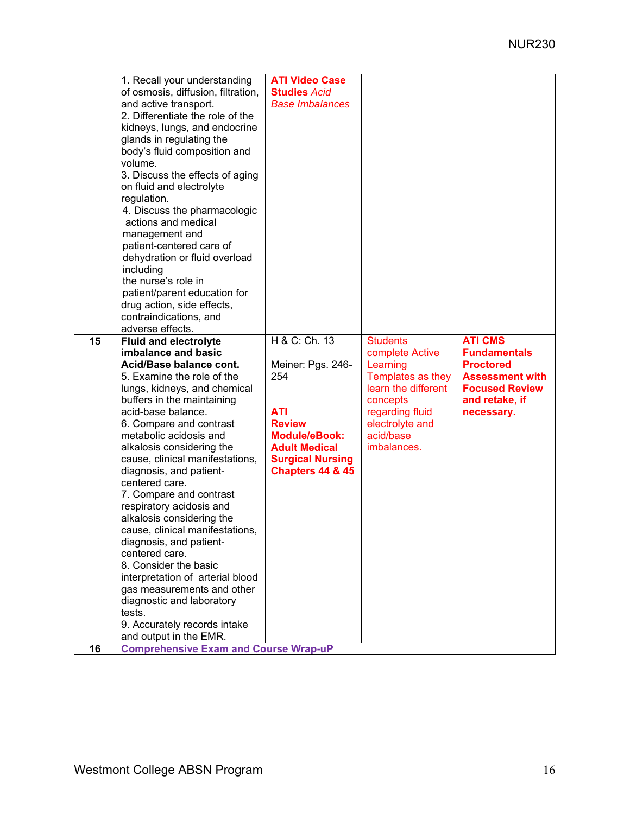| 1. Recall your understanding<br>of osmosis, diffusion, filtration,<br>and active transport.<br>2. Differentiate the role of the<br>kidneys, lungs, and endocrine<br>glands in regulating the<br>body's fluid composition and<br>volume.<br>3. Discuss the effects of aging<br>on fluid and electrolyte<br>regulation.<br>4. Discuss the pharmacologic<br>actions and medical<br>management and<br>patient-centered care of<br>dehydration or fluid overload<br>including<br>the nurse's role in<br>patient/parent education for<br>drug action, side effects,<br>contraindications, and<br>adverse effects.                                                                                                                              | <b>ATI Video Case</b><br><b>Studies Acid</b><br><b>Base Imbalances</b>                                                                                                             |                                                                                                                                                                          |                                                                                                                                              |
|------------------------------------------------------------------------------------------------------------------------------------------------------------------------------------------------------------------------------------------------------------------------------------------------------------------------------------------------------------------------------------------------------------------------------------------------------------------------------------------------------------------------------------------------------------------------------------------------------------------------------------------------------------------------------------------------------------------------------------------|------------------------------------------------------------------------------------------------------------------------------------------------------------------------------------|--------------------------------------------------------------------------------------------------------------------------------------------------------------------------|----------------------------------------------------------------------------------------------------------------------------------------------|
| 15<br><b>Fluid and electrolyte</b><br>imbalance and basic<br>Acid/Base balance cont.<br>5. Examine the role of the<br>lungs, kidneys, and chemical<br>buffers in the maintaining<br>acid-base balance.<br>6. Compare and contrast<br>metabolic acidosis and<br>alkalosis considering the<br>cause, clinical manifestations,<br>diagnosis, and patient-<br>centered care.<br>7. Compare and contrast<br>respiratory acidosis and<br>alkalosis considering the<br>cause, clinical manifestations,<br>diagnosis, and patient-<br>centered care.<br>8. Consider the basic<br>interpretation of arterial blood<br>gas measurements and other<br>diagnostic and laboratory<br>tests.<br>9. Accurately records intake<br>and output in the EMR. | H & C: Ch. 13<br>Meiner: Pgs. 246-<br>254<br><b>ATI</b><br><b>Review</b><br><b>Module/eBook:</b><br><b>Adult Medical</b><br><b>Surgical Nursing</b><br><b>Chapters 44 &amp; 45</b> | <b>Students</b><br>complete Active<br>Learning<br>Templates as they<br>learn the different<br>concepts<br>regarding fluid<br>electrolyte and<br>acid/base<br>imbalances. | <b>ATI CMS</b><br><b>Fundamentals</b><br><b>Proctored</b><br><b>Assessment with</b><br><b>Focused Review</b><br>and retake, if<br>necessary. |
| <b>Comprehensive Exam and Course Wrap-uP</b><br>16                                                                                                                                                                                                                                                                                                                                                                                                                                                                                                                                                                                                                                                                                       |                                                                                                                                                                                    |                                                                                                                                                                          |                                                                                                                                              |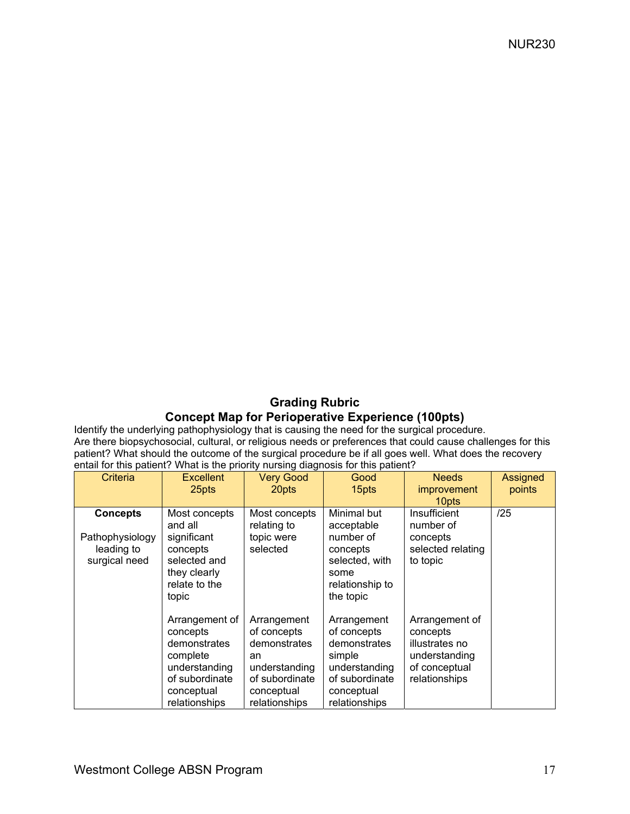# **Grading Rubric Concept Map for Perioperative Experience (100pts)**

Identify the underlying pathophysiology that is causing the need for the surgical procedure. Are there biopsychosocial, cultural, or religious needs or preferences that could cause challenges for this patient? What should the outcome of the surgical procedure be if all goes well. What does the recovery entail for this patient? What is the priority nursing diagnosis for this patient?

| Criteria                                                          | <b>Excellent</b><br>25pts                                                                                                | <b>Very Good</b><br>20pts                                                                                          | Good<br>15pts                                                                                                          | <b>Needs</b><br><i>improvement</i><br>10 <sub>pts</sub>                                         | Assigned<br>points |
|-------------------------------------------------------------------|--------------------------------------------------------------------------------------------------------------------------|--------------------------------------------------------------------------------------------------------------------|------------------------------------------------------------------------------------------------------------------------|-------------------------------------------------------------------------------------------------|--------------------|
| <b>Concepts</b><br>Pathophysiology<br>leading to<br>surgical need | Most concepts<br>and all<br>significant<br>concepts<br>selected and<br>they clearly<br>relate to the<br>topic            | Most concepts<br>relating to<br>topic were<br>selected                                                             | Minimal but<br>acceptable<br>number of<br>concepts<br>selected, with<br>some<br>relationship to<br>the topic           | Insufficient<br>number of<br>concepts<br>selected relating<br>to topic                          | /25                |
|                                                                   | Arrangement of<br>concepts<br>demonstrates<br>complete<br>understanding<br>of subordinate<br>conceptual<br>relationships | Arrangement<br>of concepts<br>demonstrates<br>an<br>understanding<br>of subordinate<br>conceptual<br>relationships | Arrangement<br>of concepts<br>demonstrates<br>simple<br>understanding<br>of subordinate<br>conceptual<br>relationships | Arrangement of<br>concepts<br>illustrates no<br>understanding<br>of conceptual<br>relationships |                    |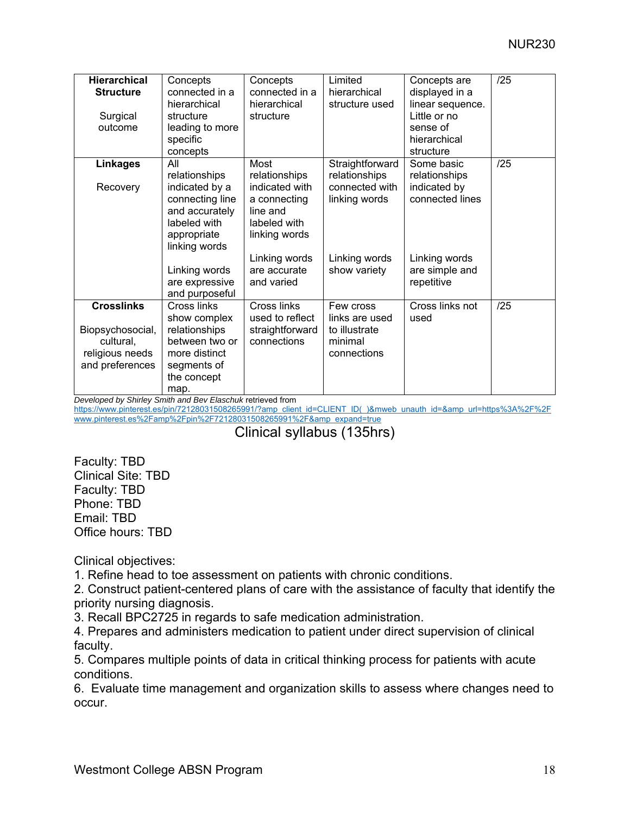| <b>Hierarchical</b><br><b>Structure</b><br>Surgical<br>outcome                           | Concepts<br>connected in a<br>hierarchical<br>structure<br>leading to more<br>specific<br>concepts                                                                               | Concepts<br>connected in a<br>hierarchical<br>structure                                                                                             | Limited<br>hierarchical<br>structure used                                                            | Concepts are<br>displayed in a<br>linear sequence.<br>Little or no<br>sense of<br>hierarchical<br>structure     | /25 |
|------------------------------------------------------------------------------------------|----------------------------------------------------------------------------------------------------------------------------------------------------------------------------------|-----------------------------------------------------------------------------------------------------------------------------------------------------|------------------------------------------------------------------------------------------------------|-----------------------------------------------------------------------------------------------------------------|-----|
| Linkages<br>Recovery                                                                     | All<br>relationships<br>indicated by a<br>connecting line<br>and accurately<br>labeled with<br>appropriate<br>linking words<br>Linking words<br>are expressive<br>and purposeful | Most<br>relationships<br>indicated with<br>a connecting<br>line and<br>labeled with<br>linking words<br>Linking words<br>are accurate<br>and varied | Straightforward<br>relationships<br>connected with<br>linking words<br>Linking words<br>show variety | Some basic<br>relationships<br>indicated by<br>connected lines<br>Linking words<br>are simple and<br>repetitive | /25 |
| <b>Crosslinks</b><br>Biopsychosocial,<br>cultural,<br>religious needs<br>and preferences | Cross links<br>show complex<br>relationships<br>between two or<br>more distinct<br>segments of<br>the concept<br>map.                                                            | Cross links<br>used to reflect<br>straightforward<br>connections                                                                                    | Few cross<br>links are used<br>to illustrate<br>minimal<br>connections                               | Cross links not<br>used                                                                                         | /25 |

*Developed by Shirley Smith and Bev Elaschuk* retrieved from

https://www.pinterest.es/pin/72128031508265991/?amp\_client\_id=CLIENT\_ID(\_)&mweb\_unauth\_id=&amp\_url=https%3A%2F%2F www.pinterest.es%2Famp%2Fpin%2F72128031508265991%2F&amp\_expand=true

# Clinical syllabus (135hrs)

Faculty: TBD Clinical Site: TBD Faculty: TBD Phone: TBD Email: TBD Office hours: TBD

Clinical objectives:

1. Refine head to toe assessment on patients with chronic conditions.

2. Construct patient-centered plans of care with the assistance of faculty that identify the priority nursing diagnosis.

3. Recall BPC2725 in regards to safe medication administration.

4. Prepares and administers medication to patient under direct supervision of clinical faculty.

5. Compares multiple points of data in critical thinking process for patients with acute conditions.

6. Evaluate time management and organization skills to assess where changes need to occur.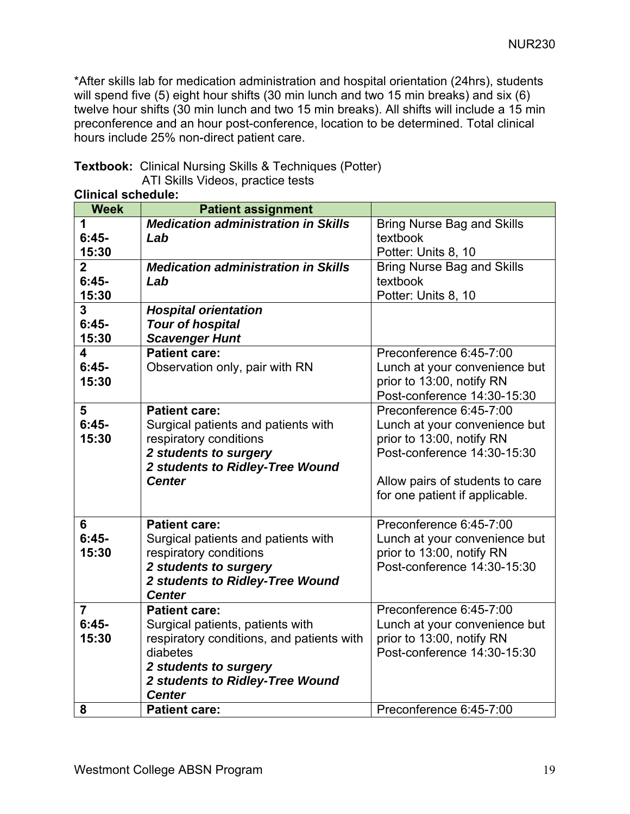\*After skills lab for medication administration and hospital orientation (24hrs), students will spend five (5) eight hour shifts (30 min lunch and two 15 min breaks) and six (6) twelve hour shifts (30 min lunch and two 15 min breaks). All shifts will include a 15 min preconference and an hour post-conference, location to be determined. Total clinical hours include 25% non-direct patient care.

**Textbook:** Clinical Nursing Skills & Techniques (Potter) ATI Skills Videos, practice tests

| <b>Week</b>    | JVIIVUUIV.<br><b>Patient assignment</b>    |                                   |
|----------------|--------------------------------------------|-----------------------------------|
| 1              | <b>Medication administration in Skills</b> | <b>Bring Nurse Bag and Skills</b> |
| $6:45-$        | Lab                                        | textbook                          |
| 15:30          |                                            | Potter: Units 8, 10               |
| $\overline{2}$ | <b>Medication administration in Skills</b> | <b>Bring Nurse Bag and Skills</b> |
| $6:45-$        | Lab                                        | textbook                          |
| 15:30          |                                            | Potter: Units 8, 10               |
| 3              | <b>Hospital orientation</b>                |                                   |
| $6:45-$        | <b>Tour of hospital</b>                    |                                   |
| 15:30          | <b>Scavenger Hunt</b>                      |                                   |
| 4              | <b>Patient care:</b>                       | Preconference 6:45-7:00           |
| $6:45-$        | Observation only, pair with RN             | Lunch at your convenience but     |
| 15:30          |                                            | prior to 13:00, notify RN         |
|                |                                            | Post-conference 14:30-15:30       |
| 5              | <b>Patient care:</b>                       | Preconference 6:45-7:00           |
| $6:45-$        | Surgical patients and patients with        | Lunch at your convenience but     |
| 15:30          | respiratory conditions                     | prior to 13:00, notify RN         |
|                | 2 students to surgery                      | Post-conference 14:30-15:30       |
|                | 2 students to Ridley-Tree Wound            |                                   |
|                | <b>Center</b>                              | Allow pairs of students to care   |
|                |                                            | for one patient if applicable.    |
| 6              | <b>Patient care:</b>                       | Preconference 6:45-7:00           |
| $6:45-$        | Surgical patients and patients with        | Lunch at your convenience but     |
| 15:30          | respiratory conditions                     | prior to 13:00, notify RN         |
|                | 2 students to surgery                      | Post-conference 14:30-15:30       |
|                | 2 students to Ridley-Tree Wound            |                                   |
|                | <b>Center</b>                              |                                   |
| $\overline{7}$ | <b>Patient care:</b>                       | Preconference 6:45-7:00           |
| $6:45-$        | Surgical patients, patients with           | Lunch at your convenience but     |
| 15:30          | respiratory conditions, and patients with  | prior to 13:00, notify RN         |
|                | diabetes                                   | Post-conference 14:30-15:30       |
|                | 2 students to surgery                      |                                   |
|                | 2 students to Ridley-Tree Wound            |                                   |
|                | <b>Center</b>                              |                                   |
| 8              | <b>Patient care:</b>                       | Preconference 6:45-7:00           |

**Clinical schedule:**